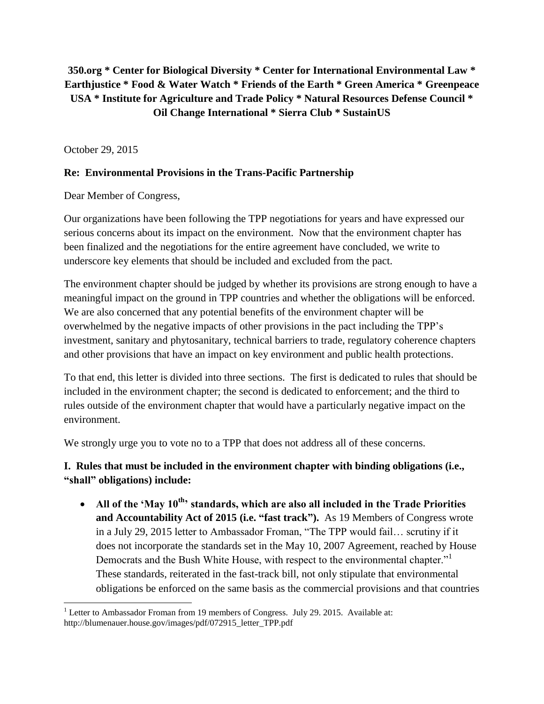# **350.org \* Center for Biological Diversity \* Center for International Environmental Law \* Earthjustice \* Food & Water Watch \* Friends of the Earth \* Green America \* Greenpeace USA \* Institute for Agriculture and Trade Policy \* Natural Resources Defense Council \* Oil Change International \* Sierra Club \* SustainUS**

October 29, 2015

### **Re: Environmental Provisions in the Trans-Pacific Partnership**

Dear Member of Congress,

Our organizations have been following the TPP negotiations for years and have expressed our serious concerns about its impact on the environment. Now that the environment chapter has been finalized and the negotiations for the entire agreement have concluded, we write to underscore key elements that should be included and excluded from the pact.

The environment chapter should be judged by whether its provisions are strong enough to have a meaningful impact on the ground in TPP countries and whether the obligations will be enforced. We are also concerned that any potential benefits of the environment chapter will be overwhelmed by the negative impacts of other provisions in the pact including the TPP's investment, sanitary and phytosanitary, technical barriers to trade, regulatory coherence chapters and other provisions that have an impact on key environment and public health protections.

To that end, this letter is divided into three sections. The first is dedicated to rules that should be included in the environment chapter; the second is dedicated to enforcement; and the third to rules outside of the environment chapter that would have a particularly negative impact on the environment.

We strongly urge you to vote no to a TPP that does not address all of these concerns.

**I. Rules that must be included in the environment chapter with binding obligations (i.e., "shall" obligations) include:**

 **All of the 'May 10th' standards, which are also all included in the Trade Priorities and Accountability Act of 2015 (i.e. "fast track").** As 19 Members of Congress wrote in a July 29, 2015 letter to Ambassador Froman, "The TPP would fail… scrutiny if it does not incorporate the standards set in the May 10, 2007 Agreement, reached by House Democrats and the Bush White House, with respect to the environmental chapter." These standards, reiterated in the fast-track bill, not only stipulate that environmental obligations be enforced on the same basis as the commercial provisions and that countries

l <sup>1</sup> Letter to Ambassador Froman from 19 members of Congress. July 29. 2015. Available at: http://blumenauer.house.gov/images/pdf/072915\_letter\_TPP.pdf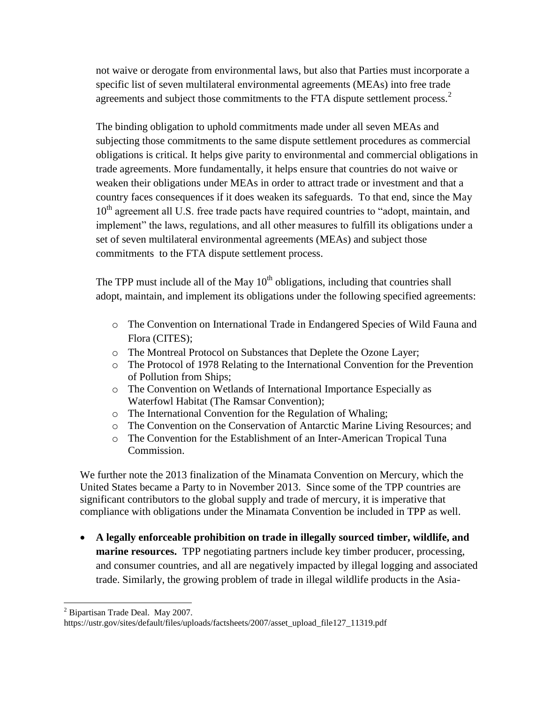not waive or derogate from environmental laws, but also that Parties must incorporate a specific list of seven multilateral environmental agreements (MEAs) into free trade agreements and subject those commitments to the FTA dispute settlement process. $<sup>2</sup>$ </sup>

The binding obligation to uphold commitments made under all seven MEAs and subjecting those commitments to the same dispute settlement procedures as commercial obligations is critical. It helps give parity to environmental and commercial obligations in trade agreements. More fundamentally, it helps ensure that countries do not waive or weaken their obligations under MEAs in order to attract trade or investment and that a country faces consequences if it does weaken its safeguards. To that end, since the May 10<sup>th</sup> agreement all U.S. free trade pacts have required countries to "adopt, maintain, and implement" the laws, regulations, and all other measures to fulfill its obligations under a set of seven multilateral environmental agreements (MEAs) and subject those commitments to the FTA dispute settlement process.

The TPP must include all of the May  $10<sup>th</sup>$  obligations, including that countries shall adopt, maintain, and implement its obligations under the following specified agreements:

- o The Convention on International Trade in Endangered Species of Wild Fauna and Flora (CITES);
- o The Montreal Protocol on Substances that Deplete the Ozone Layer;
- o The Protocol of 1978 Relating to the International Convention for the Prevention of Pollution from Ships;
- o The Convention on Wetlands of International Importance Especially as Waterfowl Habitat (The Ramsar Convention);
- o The International Convention for the Regulation of Whaling;
- o The Convention on the Conservation of Antarctic Marine Living Resources; and
- o The Convention for the Establishment of an Inter-American Tropical Tuna Commission.

We further note the 2013 finalization of the Minamata Convention on Mercury, which the United States became a Party to in November 2013. Since some of the TPP countries are significant contributors to the global supply and trade of mercury, it is imperative that compliance with obligations under the Minamata Convention be included in TPP as well.

 **A legally enforceable prohibition on trade in illegally sourced timber, wildlife, and marine resources.** TPP negotiating partners include key timber producer, processing, and consumer countries, and all are negatively impacted by illegal logging and associated trade. Similarly, the growing problem of trade in illegal wildlife products in the Asia-

l  $2$  Bipartisan Trade Deal. May 2007.

https://ustr.gov/sites/default/files/uploads/factsheets/2007/asset\_upload\_file127\_11319.pdf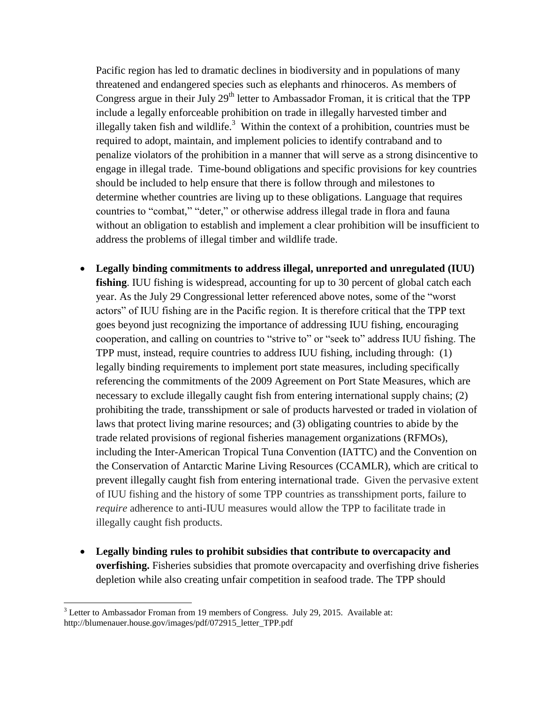Pacific region has led to dramatic declines in biodiversity and in populations of many threatened and endangered species such as elephants and rhinoceros. As members of Congress argue in their July  $29<sup>th</sup>$  letter to Ambassador Froman, it is critical that the TPP include a legally enforceable prohibition on trade in illegally harvested timber and illegally taken fish and wildlife.<sup>3</sup> Within the context of a prohibition, countries must be required to adopt, maintain, and implement policies to identify contraband and to penalize violators of the prohibition in a manner that will serve as a strong disincentive to engage in illegal trade. Time-bound obligations and specific provisions for key countries should be included to help ensure that there is follow through and milestones to determine whether countries are living up to these obligations. Language that requires countries to "combat," "deter," or otherwise address illegal trade in flora and fauna without an obligation to establish and implement a clear prohibition will be insufficient to address the problems of illegal timber and wildlife trade.

- **Legally binding commitments to address illegal, unreported and unregulated (IUU) fishing**. IUU fishing is widespread, accounting for up to 30 percent of global catch each year. As the July 29 Congressional letter referenced above notes, some of the "worst actors" of IUU fishing are in the Pacific region. It is therefore critical that the TPP text goes beyond just recognizing the importance of addressing IUU fishing, encouraging cooperation, and calling on countries to "strive to" or "seek to" address IUU fishing. The TPP must, instead, require countries to address IUU fishing, including through: (1) legally binding requirements to implement port state measures, including specifically referencing the commitments of the 2009 Agreement on Port State Measures, which are necessary to exclude illegally caught fish from entering international supply chains; (2) prohibiting the trade, transshipment or sale of products harvested or traded in violation of laws that protect living marine resources; and (3) obligating countries to abide by the trade related provisions of regional fisheries management organizations (RFMOs), including the Inter-American Tropical Tuna Convention (IATTC) and the Convention on the Conservation of Antarctic Marine Living Resources (CCAMLR), which are critical to prevent illegally caught fish from entering international trade. Given the pervasive extent of IUU fishing and the history of some TPP countries as transshipment ports, failure to *require* adherence to anti-IUU measures would allow the TPP to facilitate trade in illegally caught fish products.
- **Legally binding rules to prohibit subsidies that contribute to overcapacity and overfishing.** Fisheries subsidies that promote overcapacity and overfishing drive fisheries depletion while also creating unfair competition in seafood trade. The TPP should

l  $3$  Letter to Ambassador Froman from 19 members of Congress. July 29, 2015. Available at: http://blumenauer.house.gov/images/pdf/072915\_letter\_TPP.pdf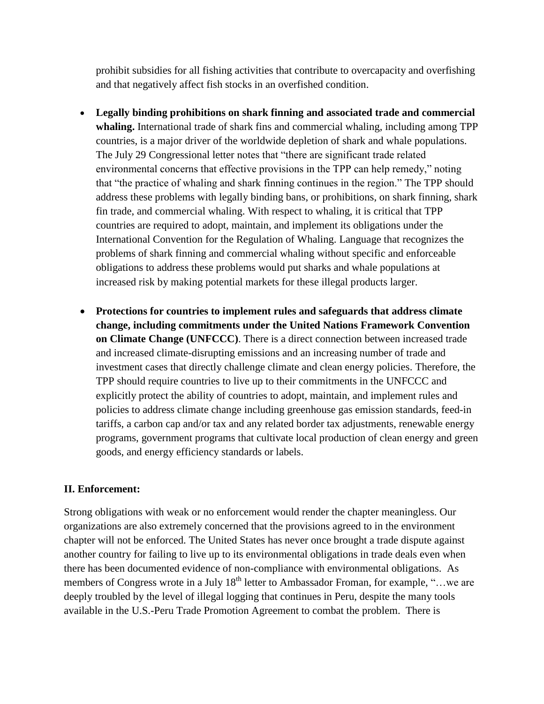prohibit subsidies for all fishing activities that contribute to overcapacity and overfishing and that negatively affect fish stocks in an overfished condition.

- **Legally binding prohibitions on shark finning and associated trade and commercial whaling.** International trade of shark fins and commercial whaling, including among TPP countries, is a major driver of the worldwide depletion of shark and whale populations. The July 29 Congressional letter notes that "there are significant trade related environmental concerns that effective provisions in the TPP can help remedy," noting that "the practice of whaling and shark finning continues in the region." The TPP should address these problems with legally binding bans, or prohibitions, on shark finning, shark fin trade, and commercial whaling. With respect to whaling, it is critical that TPP countries are required to adopt, maintain, and implement its obligations under the International Convention for the Regulation of Whaling. Language that recognizes the problems of shark finning and commercial whaling without specific and enforceable obligations to address these problems would put sharks and whale populations at increased risk by making potential markets for these illegal products larger.
- **Protections for countries to implement rules and safeguards that address climate change, including commitments under the United Nations Framework Convention on Climate Change (UNFCCC)**. There is a direct connection between increased trade and increased climate-disrupting emissions and an increasing number of trade and investment cases that directly challenge climate and clean energy policies. Therefore, the TPP should require countries to live up to their commitments in the UNFCCC and explicitly protect the ability of countries to adopt, maintain, and implement rules and policies to address climate change including greenhouse gas emission standards, feed-in tariffs, a carbon cap and/or tax and any related border tax adjustments, renewable energy programs, government programs that cultivate local production of clean energy and green goods, and energy efficiency standards or labels.

#### **II. Enforcement:**

Strong obligations with weak or no enforcement would render the chapter meaningless. Our organizations are also extremely concerned that the provisions agreed to in the environment chapter will not be enforced. The United States has never once brought a trade dispute against another country for failing to live up to its environmental obligations in trade deals even when there has been documented evidence of non-compliance with environmental obligations. As members of Congress wrote in a July  $18<sup>th</sup>$  letter to Ambassador Froman, for example, "... we are deeply troubled by the level of illegal logging that continues in Peru, despite the many tools available in the U.S.-Peru Trade Promotion Agreement to combat the problem. There is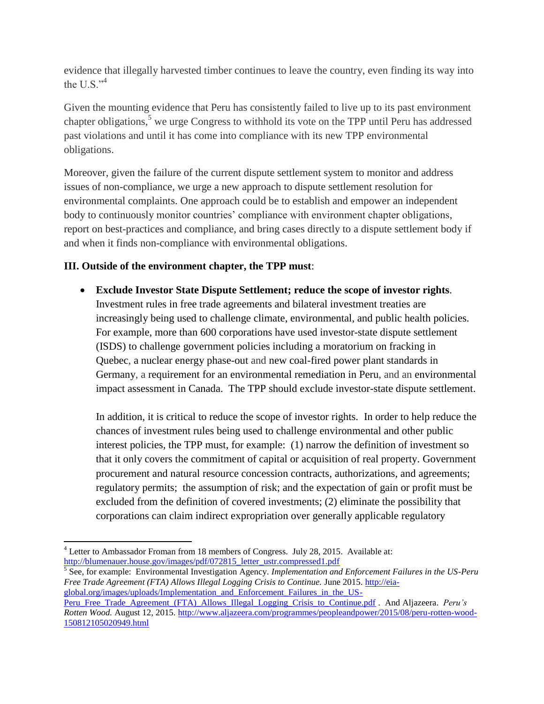evidence that illegally harvested timber continues to leave the country, even finding its way into the U.S. $\cdot$ <sup>4</sup>

Given the mounting evidence that Peru has consistently failed to live up to its past environment chapter obligations,<sup>5</sup> we urge Congress to withhold its vote on the TPP until Peru has addressed past violations and until it has come into compliance with its new TPP environmental obligations.

Moreover, given the failure of the current dispute settlement system to monitor and address issues of non-compliance, we urge a new approach to dispute settlement resolution for environmental complaints. One approach could be to establish and empower an independent body to continuously monitor countries' compliance with environment chapter obligations, report on best-practices and compliance, and bring cases directly to a dispute settlement body if and when it finds non-compliance with environmental obligations.

### **III. Outside of the environment chapter, the TPP must**:

 **Exclude Investor State Dispute Settlement; reduce the scope of investor rights**. Investment rules in free trade agreements and bilateral investment treaties are increasingly being used to challenge climate, environmental, and public health policies. For example, more than 600 corporations have used investor-state dispute settlement (ISDS) to challenge government policies including a moratorium on fracking in Quebec, a nuclear energy phase-out and new coal-fired power plant standards in Germany, a requirement for an environmental remediation in Peru, and an environmental impact assessment in Canada. The TPP should exclude investor-state dispute settlement.

In addition, it is critical to reduce the scope of investor rights. In order to help reduce the chances of investment rules being used to challenge environmental and other public interest policies, the TPP must, for example: (1) narrow the definition of investment so that it only covers the commitment of capital or acquisition of real property. Government procurement and natural resource concession contracts, authorizations, and agreements; regulatory permits; the assumption of risk; and the expectation of gain or profit must be excluded from the definition of covered investments; (2) eliminate the possibility that corporations can claim indirect expropriation over generally applicable regulatory

l <sup>4</sup> Letter to Ambassador Froman from 18 members of Congress. July 28, 2015. Available at: [http://blumenauer.house.gov/images/pdf/072815\\_letter\\_ustr.compressed1.pdf](http://blumenauer.house.gov/images/pdf/072815_letter_ustr.compressed1.pdf)

<sup>5</sup> See, for example: Environmental Investigation Agency*. Implementation and Enforcement Failures in the US-Peru Free Trade Agreement (FTA) Allows Illegal Logging Crisis to Continue.* June 2015. [http://eia](http://eia-global.org/images/uploads/Implementation_and_Enforcement_Failures_in_the_US-Peru_Free_Trade_Agreement_(FTA)_Allows_Illegal_Logging_Crisis_to_Continue.pdf)[global.org/images/uploads/Implementation\\_and\\_Enforcement\\_Failures\\_in\\_the\\_US-](http://eia-global.org/images/uploads/Implementation_and_Enforcement_Failures_in_the_US-Peru_Free_Trade_Agreement_(FTA)_Allows_Illegal_Logging_Crisis_to_Continue.pdf)

[Peru\\_Free\\_Trade\\_Agreement\\_\(FTA\)\\_Allows\\_Illegal\\_Logging\\_Crisis\\_to\\_Continue.pdf](http://eia-global.org/images/uploads/Implementation_and_Enforcement_Failures_in_the_US-Peru_Free_Trade_Agreement_(FTA)_Allows_Illegal_Logging_Crisis_to_Continue.pdf) . And Aljazeera. *Peru's Rotten Wood.* August 12, 2015. [http://www.aljazeera.com/programmes/peopleandpower/2015/08/peru-rotten-wood-](http://www.aljazeera.com/programmes/peopleandpower/2015/08/peru-rotten-wood-150812105020949.html)[150812105020949.html](http://www.aljazeera.com/programmes/peopleandpower/2015/08/peru-rotten-wood-150812105020949.html)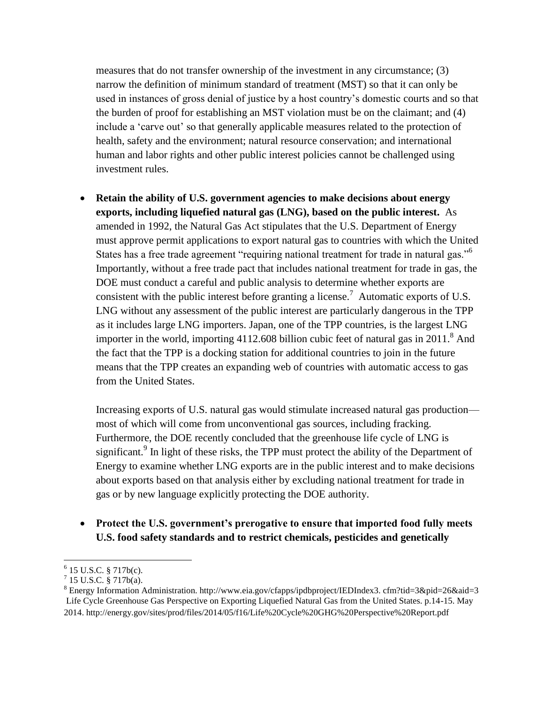measures that do not transfer ownership of the investment in any circumstance; (3) narrow the definition of minimum standard of treatment (MST) so that it can only be used in instances of gross denial of justice by a host country's domestic courts and so that the burden of proof for establishing an MST violation must be on the claimant; and (4) include a 'carve out' so that generally applicable measures related to the protection of health, safety and the environment; natural resource conservation; and international human and labor rights and other public interest policies cannot be challenged using investment rules.

 **Retain the ability of U.S. government agencies to make decisions about energy exports, including liquefied natural gas (LNG), based on the public interest.** As amended in 1992, the Natural Gas Act stipulates that the U.S. Department of Energy must approve permit applications to export natural gas to countries with which the United States has a free trade agreement "requiring national treatment for trade in natural gas."<sup>6</sup> Importantly, without a free trade pact that includes national treatment for trade in gas, the DOE must conduct a careful and public analysis to determine whether exports are consistent with the public interest before granting a license.<sup>7</sup> Automatic exports of U.S. LNG without any assessment of the public interest are particularly dangerous in the TPP as it includes large LNG importers. Japan, one of the TPP countries, is the largest LNG importer in the world, importing  $4112.608$  billion cubic feet of natural gas in  $2011$ .<sup>8</sup> And the fact that the TPP is a docking station for additional countries to join in the future means that the TPP creates an expanding web of countries with automatic access to gas from the United States.

Increasing exports of U.S. natural gas would stimulate increased natural gas production most of which will come from unconventional gas sources, including fracking. Furthermore, the DOE recently concluded that the greenhouse life cycle of LNG is significant.<sup>9</sup> In light of these risks, the TPP must protect the ability of the Department of Energy to examine whether LNG exports are in the public interest and to make decisions about exports based on that analysis either by excluding national treatment for trade in gas or by new language explicitly protecting the DOE authority.

 **Protect the U.S. government's prerogative to ensure that imported food fully meets U.S. food safety standards and to restrict chemicals, pesticides and genetically** 

l  $6$  15 U.S.C. § 717b(c).

 $^{7}$  15 U.S.C. § 717b(a).

<sup>8</sup> Energy Information Administration. http://www.eia.gov/cfapps/ipdbproject/IEDIndex3. cfm?tid=3&pid=26&aid=3 Life Cycle Greenhouse Gas Perspective on Exporting Liquefied Natural Gas from the United States. p.14-15. May 2014. http://energy.gov/sites/prod/files/2014/05/f16/Life%20Cycle%20GHG%20Perspective%20Report.pdf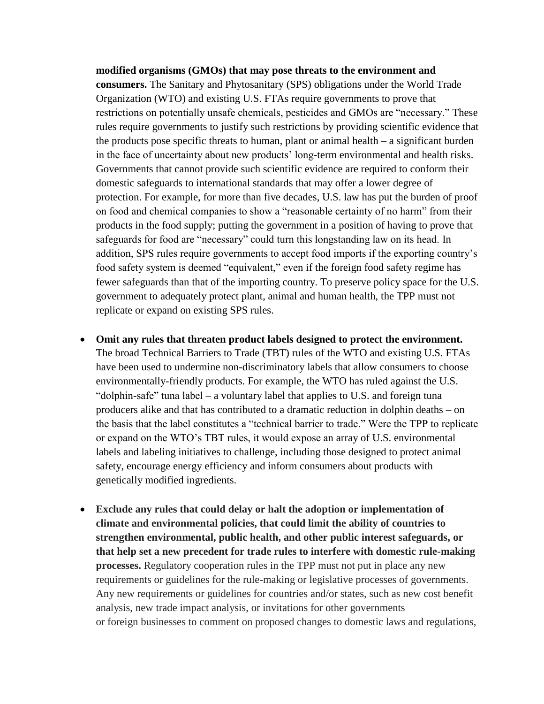# **modified organisms (GMOs) that may pose threats to the environment and consumers.** The Sanitary and Phytosanitary (SPS) obligations under the World Trade Organization (WTO) and existing U.S. FTAs require governments to prove that restrictions on potentially unsafe chemicals, pesticides and GMOs are "necessary." These rules require governments to justify such restrictions by providing scientific evidence that the products pose specific threats to human, plant or animal health – a significant burden in the face of uncertainty about new products' long-term environmental and health risks. Governments that cannot provide such scientific evidence are required to conform their domestic safeguards to international standards that may offer a lower degree of protection. For example, for more than five decades, U.S. law has put the burden of proof on food and chemical companies to show a "reasonable certainty of no harm" from their products in the food supply; putting the government in a position of having to prove that safeguards for food are "necessary" could turn this longstanding law on its head. In addition, SPS rules require governments to accept food imports if the exporting country's food safety system is deemed "equivalent," even if the foreign food safety regime has fewer safeguards than that of the importing country. To preserve policy space for the U.S. government to adequately protect plant, animal and human health, the TPP must not replicate or expand on existing SPS rules.

- **Omit any rules that threaten product labels designed to protect the environment.**  The broad Technical Barriers to Trade (TBT) rules of the WTO and existing U.S. FTAs have been used to undermine non-discriminatory labels that allow consumers to choose environmentally-friendly products. For example, the WTO has ruled against the U.S. "dolphin-safe" tuna label – a voluntary label that applies to U.S. and foreign tuna producers alike and that has contributed to a dramatic reduction in dolphin deaths – on the basis that the label constitutes a "technical barrier to trade." Were the TPP to replicate or expand on the WTO's TBT rules, it would expose an array of U.S. environmental labels and labeling initiatives to challenge, including those designed to protect animal safety, encourage energy efficiency and inform consumers about products with genetically modified ingredients.
- **Exclude any rules that could delay or halt the adoption or implementation of climate and environmental policies, that could limit the ability of countries to strengthen environmental, public health, and other public interest safeguards, or that help set a new precedent for trade rules to interfere with domestic rule-making processes.** Regulatory cooperation rules in the TPP must not put in place any new requirements or guidelines for the rule-making or legislative processes of governments. Any new requirements or guidelines for countries and/or states, such as new cost benefit analysis, new trade impact analysis, or invitations for other governments or foreign businesses to comment on proposed changes to domestic laws and regulations,